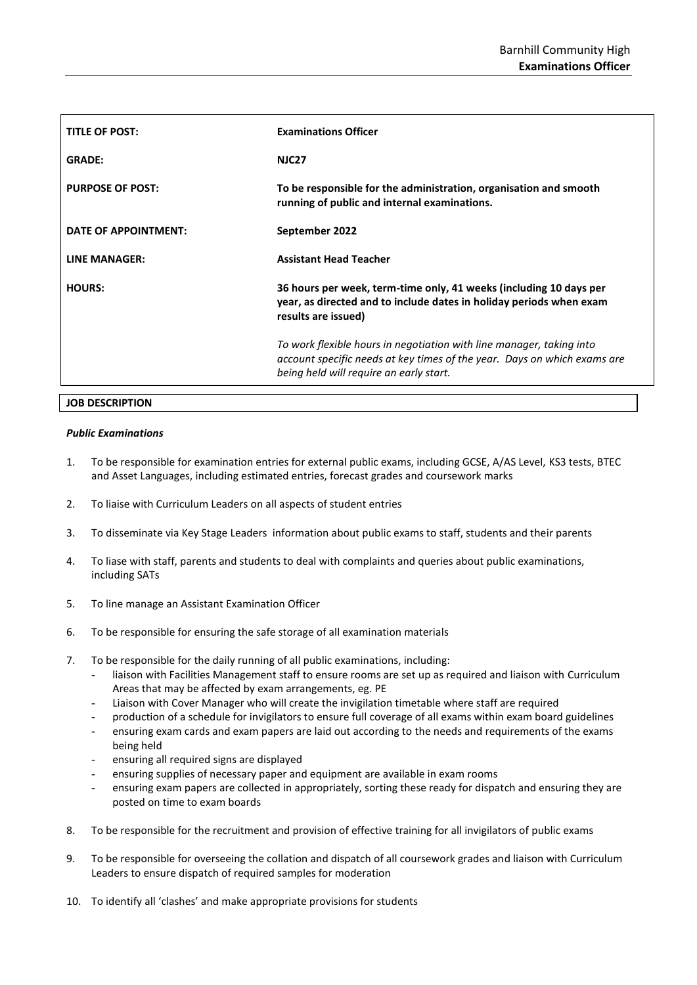| <b>TITLE OF POST:</b>   | <b>Examinations Officer</b>                                                                                                                                                                 |
|-------------------------|---------------------------------------------------------------------------------------------------------------------------------------------------------------------------------------------|
| <b>GRADE:</b>           | <b>NJC27</b>                                                                                                                                                                                |
| <b>PURPOSE OF POST:</b> | To be responsible for the administration, organisation and smooth<br>running of public and internal examinations.                                                                           |
| DATE OF APPOINTMENT:    | September 2022                                                                                                                                                                              |
| LINE MANAGER:           | <b>Assistant Head Teacher</b>                                                                                                                                                               |
| <b>HOURS:</b>           | 36 hours per week, term-time only, 41 weeks (including 10 days per<br>year, as directed and to include dates in holiday periods when exam<br>results are issued)                            |
|                         | To work flexible hours in negotiation with line manager, taking into<br>account specific needs at key times of the year. Days on which exams are<br>being held will require an early start. |

#### **JOB DESCRIPTION**

#### *Public Examinations*

- 1. To be responsible for examination entries for external public exams, including GCSE, A/AS Level, KS3 tests, BTEC and Asset Languages, including estimated entries, forecast grades and coursework marks
- 2. To liaise with Curriculum Leaders on all aspects of student entries
- 3. To disseminate via Key Stage Leaders information about public exams to staff, students and their parents
- 4. To liase with staff, parents and students to deal with complaints and queries about public examinations, including SATs
- 5. To line manage an Assistant Examination Officer
- 6. To be responsible for ensuring the safe storage of all examination materials
- 7. To be responsible for the daily running of all public examinations, including:
	- liaison with Facilities Management staff to ensure rooms are set up as required and liaison with Curriculum Areas that may be affected by exam arrangements, eg. PE
	- Liaison with Cover Manager who will create the invigilation timetable where staff are required
	- production of a schedule for invigilators to ensure full coverage of all exams within exam board guidelines
	- ensuring exam cards and exam papers are laid out according to the needs and requirements of the exams being held
	- ensuring all required signs are displayed
	- ensuring supplies of necessary paper and equipment are available in exam rooms
	- ensuring exam papers are collected in appropriately, sorting these ready for dispatch and ensuring they are posted on time to exam boards
- 8. To be responsible for the recruitment and provision of effective training for all invigilators of public exams
- 9. To be responsible for overseeing the collation and dispatch of all coursework grades and liaison with Curriculum Leaders to ensure dispatch of required samples for moderation
- 10. To identify all 'clashes' and make appropriate provisions for students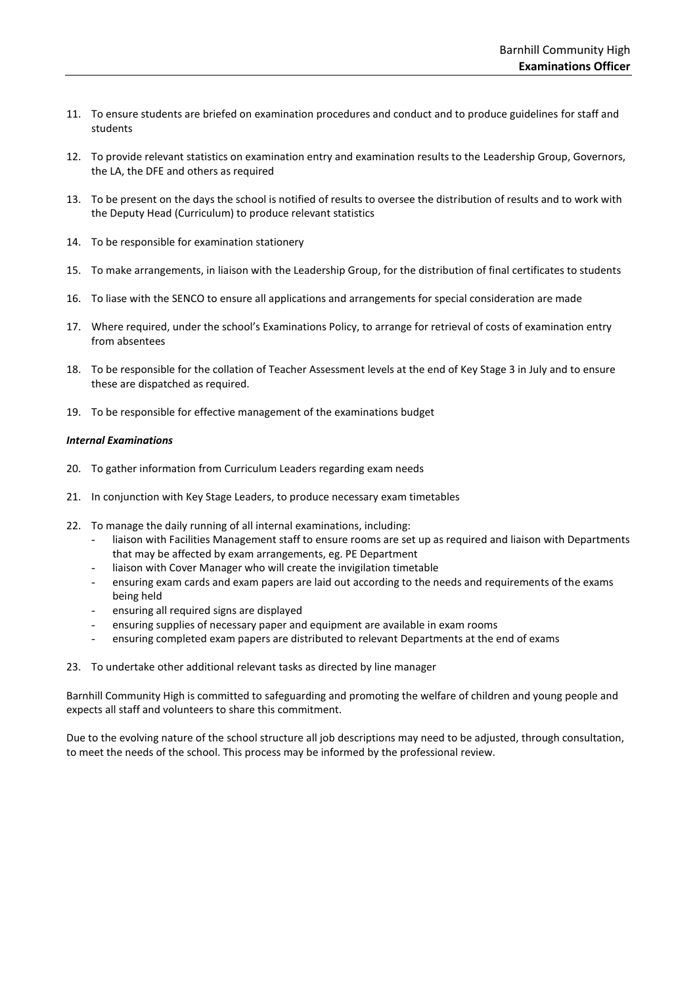- 11. To ensure students are briefed on examination procedures and conduct and to produce guidelines for staff and students
- 12. To provide relevant statistics on examination entry and examination results to the Leadership Group, Governors, the LA, the DFE and others as required
- 13. To be present on the days the school is notified of results to oversee the distribution of results and to work with the Deputy Head (Curriculum) to produce relevant statistics
- 14. To be responsible for examination stationery
- 15. To make arrangements, in liaison with the Leadership Group, for the distribution of final certificates to students
- 16. To liase with the SENCO to ensure all applications and arrangements for special consideration are made
- 17. Where required, under the school's Examinations Policy, to arrange for retrieval of costs of examination entry from absentees
- 18. To be responsible for the collation of Teacher Assessment levels at the end of Key Stage 3 in July and to ensure these are dispatched as required.
- 19. To be responsible for effective management of the examinations budget

#### *Internal Examinations*

- 20. To gather information from Curriculum Leaders regarding exam needs
- 21. In conjunction with Key Stage Leaders, to produce necessary exam timetables
- 22. To manage the daily running of all internal examinations, including:
	- liaison with Facilities Management staff to ensure rooms are set up as required and liaison with Departments that may be affected by exam arrangements, eg. PE Department
	- liaison with Cover Manager who will create the invigilation timetable
	- ensuring exam cards and exam papers are laid out according to the needs and requirements of the exams being held
	- ensuring all required signs are displayed
	- ensuring supplies of necessary paper and equipment are available in exam rooms
	- ensuring completed exam papers are distributed to relevant Departments at the end of exams
- 23. To undertake other additional relevant tasks as directed by line manager

Barnhill Community High is committed to safeguarding and promoting the welfare of children and young people and expects all staff and volunteers to share this commitment.

Due to the evolving nature of the school structure all job descriptions may need to be adjusted, through consultation, to meet the needs of the school. This process may be informed by the professional review.